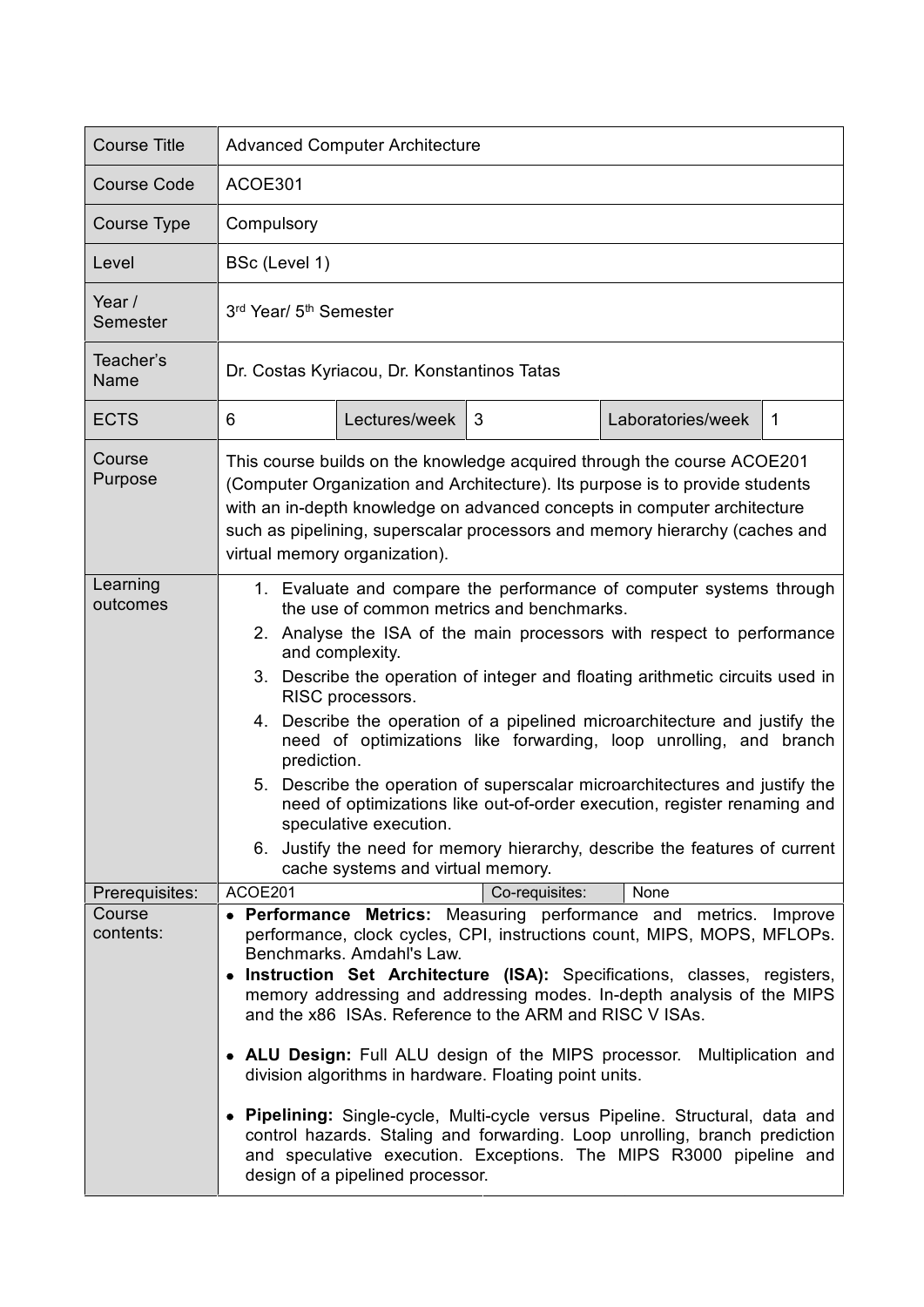| <b>Course Title</b>  | <b>Advanced Computer Architecture</b>                                                                                                                                                                                                                                                                                                                                                                                                                                                                                                                                                                                                                                                                                                                                                                       |
|----------------------|-------------------------------------------------------------------------------------------------------------------------------------------------------------------------------------------------------------------------------------------------------------------------------------------------------------------------------------------------------------------------------------------------------------------------------------------------------------------------------------------------------------------------------------------------------------------------------------------------------------------------------------------------------------------------------------------------------------------------------------------------------------------------------------------------------------|
| <b>Course Code</b>   | ACOE301                                                                                                                                                                                                                                                                                                                                                                                                                                                                                                                                                                                                                                                                                                                                                                                                     |
| Course Type          | Compulsory                                                                                                                                                                                                                                                                                                                                                                                                                                                                                                                                                                                                                                                                                                                                                                                                  |
| Level                | BSc (Level 1)                                                                                                                                                                                                                                                                                                                                                                                                                                                                                                                                                                                                                                                                                                                                                                                               |
| Year /<br>Semester   | 3 <sup>rd</sup> Year/ 5 <sup>th</sup> Semester                                                                                                                                                                                                                                                                                                                                                                                                                                                                                                                                                                                                                                                                                                                                                              |
| Teacher's<br>Name    | Dr. Costas Kyriacou, Dr. Konstantinos Tatas                                                                                                                                                                                                                                                                                                                                                                                                                                                                                                                                                                                                                                                                                                                                                                 |
| <b>ECTS</b>          | Lectures/week<br>Laboratories/week<br>6<br>3<br>1                                                                                                                                                                                                                                                                                                                                                                                                                                                                                                                                                                                                                                                                                                                                                           |
| Course<br>Purpose    | This course builds on the knowledge acquired through the course ACOE201<br>(Computer Organization and Architecture). Its purpose is to provide students<br>with an in-depth knowledge on advanced concepts in computer architecture<br>such as pipelining, superscalar processors and memory hierarchy (caches and<br>virtual memory organization).                                                                                                                                                                                                                                                                                                                                                                                                                                                         |
| Learning<br>outcomes | 1. Evaluate and compare the performance of computer systems through<br>the use of common metrics and benchmarks.<br>2. Analyse the ISA of the main processors with respect to performance<br>and complexity.<br>3. Describe the operation of integer and floating arithmetic circuits used in<br>RISC processors.<br>4. Describe the operation of a pipelined microarchitecture and justify the<br>need of optimizations like forwarding, loop unrolling, and branch<br>prediction.<br>5. Describe the operation of superscalar microarchitectures and justify the<br>need of optimizations like out-of-order execution, register renaming and<br>speculative execution.<br>6. Justify the need for memory hierarchy, describe the features of current<br>cache systems and virtual memory.                 |
| Prerequisites:       | ACOE201<br>Co-requisites:<br>None                                                                                                                                                                                                                                                                                                                                                                                                                                                                                                                                                                                                                                                                                                                                                                           |
| Course<br>contents:  | • Performance Metrics: Measuring performance and metrics. Improve<br>performance, clock cycles, CPI, instructions count, MIPS, MOPS, MFLOPs.<br>Benchmarks. Amdahl's Law.<br>• Instruction Set Architecture (ISA): Specifications, classes, registers,<br>memory addressing and addressing modes. In-depth analysis of the MIPS<br>and the x86 ISAs. Reference to the ARM and RISC V ISAs.<br>• ALU Design: Full ALU design of the MIPS processor.<br>Multiplication and<br>division algorithms in hardware. Floating point units.<br>• Pipelining: Single-cycle, Multi-cycle versus Pipeline. Structural, data and<br>control hazards. Staling and forwarding. Loop unrolling, branch prediction<br>and speculative execution. Exceptions. The MIPS R3000 pipeline and<br>design of a pipelined processor. |